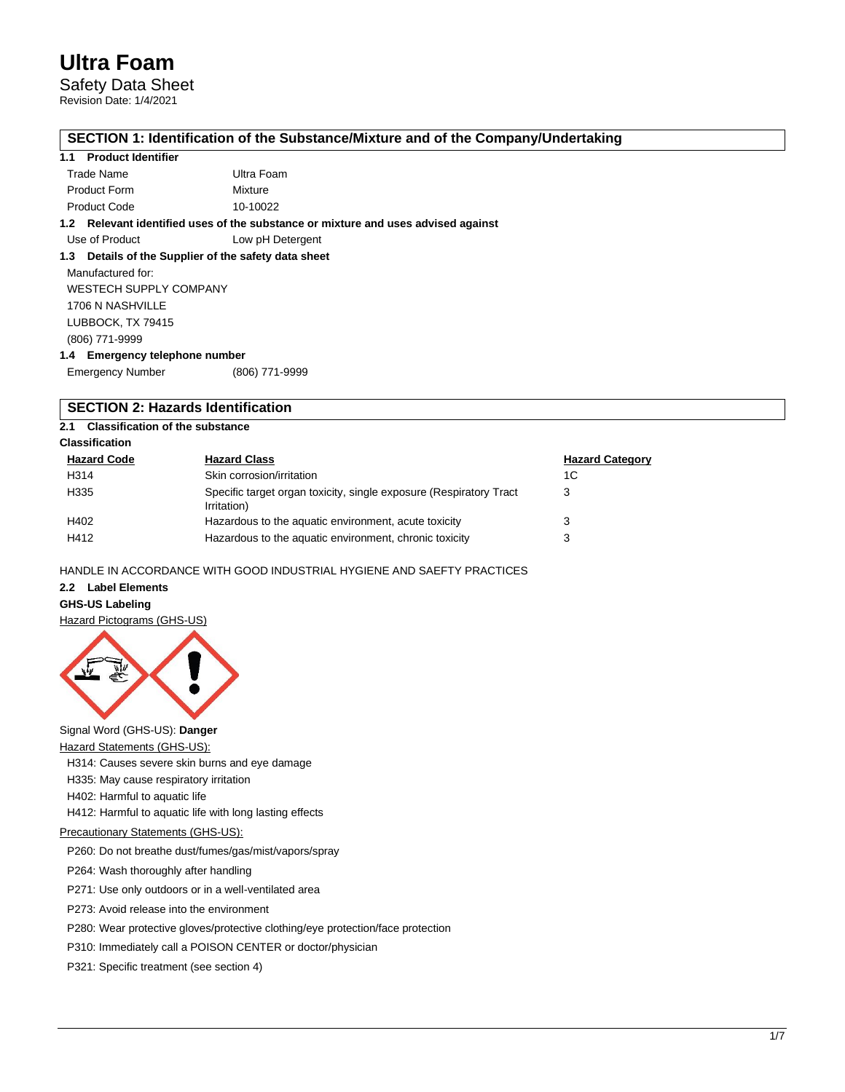Safety Data Sheet

Revision Date: 1/4/2021

## **SECTION 1: Identification of the Substance/Mixture and of the Company/Undertaking**

## **1.1 Product Identifier**

| Trade Name          | Ultra Foam |
|---------------------|------------|
| <b>Product Form</b> | Mixture    |
| <b>Product Code</b> | 10-10022   |

**1.2 Relevant identified uses of the substance or mixture and uses advised against**

Use of Product Low pH Detergent

## **1.3 Details of the Supplier of the safety data sheet**

Manufactured for: WESTECH SUPPLY COMPANY 1706 N NASHVILLE LUBBOCK, TX 79415 (806) 771-9999 **1.4 Emergency telephone number**

| <b>Emergency Number</b> | (806) 771-9999 |
|-------------------------|----------------|

## **SECTION 2: Hazards Identification**

## **2.1 Classification of the substance**

## **Classification**

| <b>Hazard Code</b> | <b>Hazard Class</b>                                                               | <b>Hazard Category</b> |
|--------------------|-----------------------------------------------------------------------------------|------------------------|
| H314               | Skin corrosion/irritation                                                         | 1C                     |
| H335               | Specific target organ toxicity, single exposure (Respiratory Tract<br>Irritation) | 3                      |
| H402               | Hazardous to the aquatic environment, acute toxicity                              | 3                      |
| H412               | Hazardous to the aquatic environment, chronic toxicity                            | 3                      |

## HANDLE IN ACCORDANCE WITH GOOD INDUSTRIAL HYGIENE AND SAEFTY PRACTICES

#### **2.2 Label Elements**

## **GHS-US Labeling**

Hazard Pictograms (GHS-US)



Signal Word (GHS-US): **Danger**

Hazard Statements (GHS-US):

H314: Causes severe skin burns and eye damage

- H335: May cause respiratory irritation
- H402: Harmful to aquatic life

H412: Harmful to aquatic life with long lasting effects

## Precautionary Statements (GHS-US):

P260: Do not breathe dust/fumes/gas/mist/vapors/spray

P264: Wash thoroughly after handling

P271: Use only outdoors or in a well-ventilated area

P273: Avoid release into the environment

P280: Wear protective gloves/protective clothing/eye protection/face protection

P310: Immediately call a POISON CENTER or doctor/physician

P321: Specific treatment (see section 4)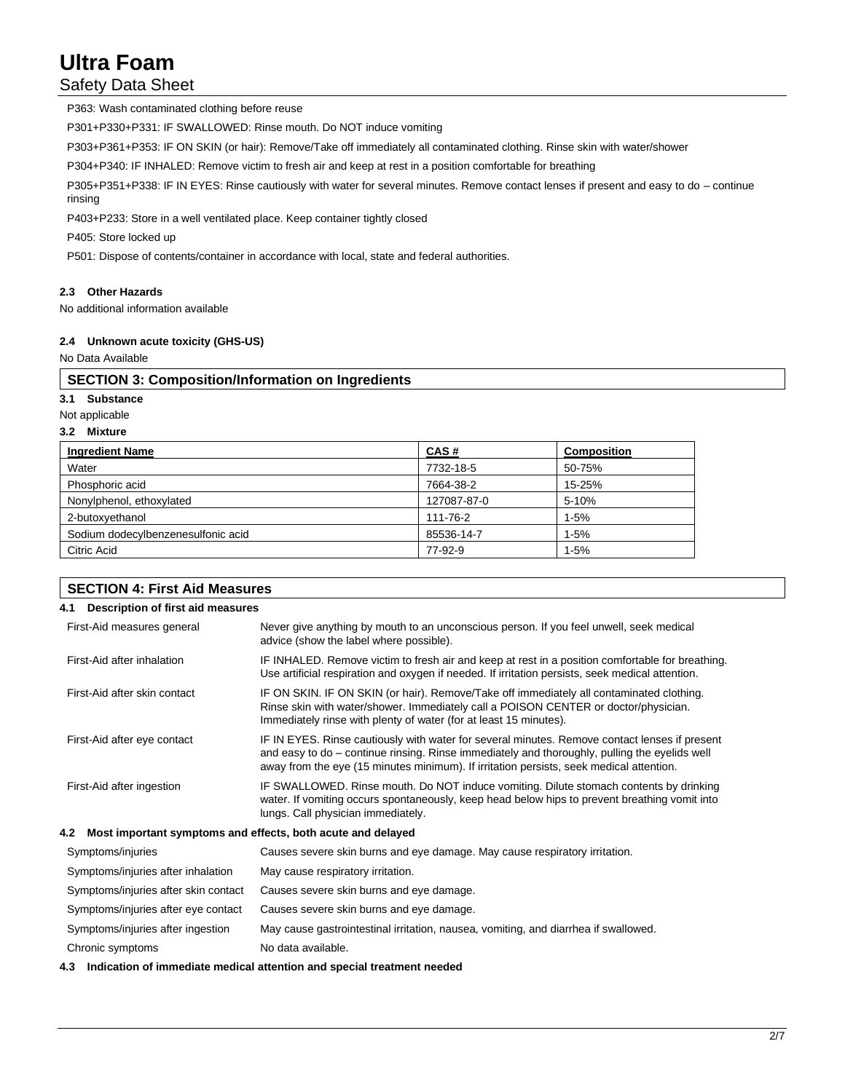## Safety Data Sheet

P363: Wash contaminated clothing before reuse

P301+P330+P331: IF SWALLOWED: Rinse mouth. Do NOT induce vomiting

P303+P361+P353: IF ON SKIN (or hair): Remove/Take off immediately all contaminated clothing. Rinse skin with water/shower

P304+P340: IF INHALED: Remove victim to fresh air and keep at rest in a position comfortable for breathing

P305+P351+P338: IF IN EYES: Rinse cautiously with water for several minutes. Remove contact lenses if present and easy to do – continue rinsing

P403+P233: Store in a well ventilated place. Keep container tightly closed

P405: Store locked up

P501: Dispose of contents/container in accordance with local, state and federal authorities.

## **2.3 Other Hazards**

No additional information available

## **2.4 Unknown acute toxicity (GHS-US)**

No Data Available

## **SECTION 3: Composition/Information on Ingredients**

## **3.1 Substance**

Not applicable

## **3.2 Mixture**

| <b>Ingredient Name</b>             | CAS#        | <b>Composition</b> |
|------------------------------------|-------------|--------------------|
| Water                              | 7732-18-5   | 50-75%             |
| Phosphoric acid                    | 7664-38-2   | 15-25%             |
| Nonylphenol, ethoxylated           | 127087-87-0 | 5-10%              |
| 2-butoxyethanol                    | 111-76-2    | $1 - 5%$           |
| Sodium dodecylbenzenesulfonic acid | 85536-14-7  | $1 - 5%$           |
| Citric Acid                        | 77-92-9     | $1 - 5%$           |

## **SECTION 4: First Aid Measures**

| Description of first aid measures<br>4.1 |                                                                                                                                                                                                                                                                                           |
|------------------------------------------|-------------------------------------------------------------------------------------------------------------------------------------------------------------------------------------------------------------------------------------------------------------------------------------------|
| First-Aid measures general               | Never give anything by mouth to an unconscious person. If you feel unwell, seek medical<br>advice (show the label where possible).                                                                                                                                                        |
| First-Aid after inhalation               | IF INHALED. Remove victim to fresh air and keep at rest in a position comfortable for breathing.<br>Use artificial respiration and oxygen if needed. If irritation persists, seek medical attention.                                                                                      |
| First-Aid after skin contact             | IF ON SKIN. IF ON SKIN (or hair). Remove/Take off immediately all contaminated clothing.<br>Rinse skin with water/shower. Immediately call a POISON CENTER or doctor/physician.<br>Immediately rinse with plenty of water (for at least 15 minutes).                                      |
| First-Aid after eye contact              | IF IN EYES. Rinse cautiously with water for several minutes. Remove contact lenses if present<br>and easy to do – continue rinsing. Rinse immediately and thoroughly, pulling the eyelids well<br>away from the eye (15 minutes minimum). If irritation persists, seek medical attention. |
| First-Aid after ingestion                | IF SWALLOWED. Rinse mouth. Do NOT induce vomiting. Dilute stomach contents by drinking<br>water. If vomiting occurs spontaneously, keep head below hips to prevent breathing vomit into<br>lungs. Call physician immediately.                                                             |
| 4.2                                      | Most important symptoms and effects, both acute and delayed                                                                                                                                                                                                                               |

| Symptoms/injuries                    | Causes severe skin burns and eye damage. May cause respiratory irritation.          |
|--------------------------------------|-------------------------------------------------------------------------------------|
| Symptoms/injuries after inhalation   | May cause respiratory irritation.                                                   |
| Symptoms/injuries after skin contact | Causes severe skin burns and eye damage.                                            |
| Symptoms/injuries after eye contact  | Causes severe skin burns and eye damage.                                            |
| Symptoms/injuries after ingestion    | May cause gastrointestinal irritation, nausea, vomiting, and diarrhea if swallowed. |
| Chronic symptoms                     | No data available.                                                                  |

#### **4.3 Indication of immediate medical attention and special treatment needed**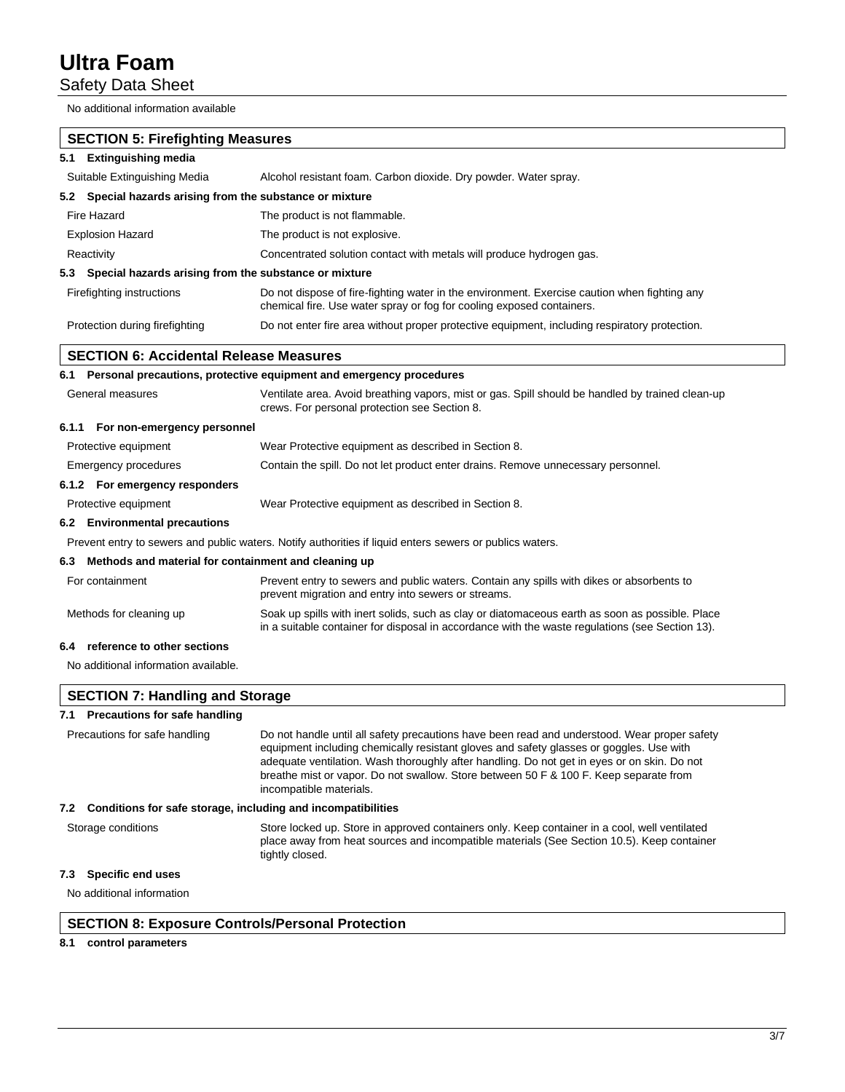Safety Data Sheet

No additional information available

| <b>SECTION 5: Firefighting Measures</b><br>5.1 Extinguishing media  |                                                                                                                                                                                                                                                                                                                                                                                                            |
|---------------------------------------------------------------------|------------------------------------------------------------------------------------------------------------------------------------------------------------------------------------------------------------------------------------------------------------------------------------------------------------------------------------------------------------------------------------------------------------|
| Suitable Extinguishing Media                                        | Alcohol resistant foam. Carbon dioxide. Dry powder. Water spray.                                                                                                                                                                                                                                                                                                                                           |
|                                                                     |                                                                                                                                                                                                                                                                                                                                                                                                            |
| 5.2 Special hazards arising from the substance or mixture           |                                                                                                                                                                                                                                                                                                                                                                                                            |
| Fire Hazard                                                         | The product is not flammable.                                                                                                                                                                                                                                                                                                                                                                              |
| <b>Explosion Hazard</b>                                             | The product is not explosive.                                                                                                                                                                                                                                                                                                                                                                              |
| Reactivity                                                          | Concentrated solution contact with metals will produce hydrogen gas.                                                                                                                                                                                                                                                                                                                                       |
| 5.3 Special hazards arising from the substance or mixture           |                                                                                                                                                                                                                                                                                                                                                                                                            |
| Firefighting instructions                                           | Do not dispose of fire-fighting water in the environment. Exercise caution when fighting any<br>chemical fire. Use water spray or fog for cooling exposed containers.                                                                                                                                                                                                                                      |
| Protection during firefighting                                      | Do not enter fire area without proper protective equipment, including respiratory protection.                                                                                                                                                                                                                                                                                                              |
| SECTION 6: Accidental Release Measures                              |                                                                                                                                                                                                                                                                                                                                                                                                            |
| 6.1                                                                 | Personal precautions, protective equipment and emergency procedures                                                                                                                                                                                                                                                                                                                                        |
| General measures                                                    | Ventilate area. Avoid breathing vapors, mist or gas. Spill should be handled by trained clean-up<br>crews. For personal protection see Section 8.                                                                                                                                                                                                                                                          |
| 6.1.1 For non-emergency personnel                                   |                                                                                                                                                                                                                                                                                                                                                                                                            |
| Protective equipment                                                | Wear Protective equipment as described in Section 8.                                                                                                                                                                                                                                                                                                                                                       |
| Emergency procedures                                                | Contain the spill. Do not let product enter drains. Remove unnecessary personnel.                                                                                                                                                                                                                                                                                                                          |
| 6.1.2 For emergency responders                                      |                                                                                                                                                                                                                                                                                                                                                                                                            |
| Protective equipment                                                | Wear Protective equipment as described in Section 8.                                                                                                                                                                                                                                                                                                                                                       |
| 6.2 Environmental precautions                                       |                                                                                                                                                                                                                                                                                                                                                                                                            |
|                                                                     | Prevent entry to sewers and public waters. Notify authorities if liquid enters sewers or publics waters.                                                                                                                                                                                                                                                                                                   |
| Methods and material for containment and cleaning up<br>6.3         |                                                                                                                                                                                                                                                                                                                                                                                                            |
| For containment                                                     | Prevent entry to sewers and public waters. Contain any spills with dikes or absorbents to<br>prevent migration and entry into sewers or streams.                                                                                                                                                                                                                                                           |
| Methods for cleaning up                                             | Soak up spills with inert solids, such as clay or diatomaceous earth as soon as possible. Place<br>in a suitable container for disposal in accordance with the waste regulations (see Section 13).                                                                                                                                                                                                         |
| reference to other sections<br>6.4                                  |                                                                                                                                                                                                                                                                                                                                                                                                            |
| No additional information available.                                |                                                                                                                                                                                                                                                                                                                                                                                                            |
| <b>SECTION 7: Handling and Storage</b>                              |                                                                                                                                                                                                                                                                                                                                                                                                            |
| 7.1 Precautions for safe handling                                   |                                                                                                                                                                                                                                                                                                                                                                                                            |
| Precautions for safe handling                                       | Do not handle until all safety precautions have been read and understood. Wear proper safety<br>equipment including chemically resistant gloves and safety glasses or goggles. Use with<br>adequate ventilation. Wash thoroughly after handling. Do not get in eyes or on skin. Do not<br>breathe mist or vapor. Do not swallow. Store between 50 F & 100 F. Keep separate from<br>incompatible materials. |
| Conditions for safe storage, including and incompatibilities<br>7.2 |                                                                                                                                                                                                                                                                                                                                                                                                            |
| Storage conditions                                                  | Store locked up. Store in approved containers only. Keep container in a cool, well ventilated                                                                                                                                                                                                                                                                                                              |

place away from heat sources and incompatible materials (See Section 10.5). Keep container

## **7.3 Specific end uses**

No additional information

## **SECTION 8: Exposure Controls/Personal Protection**

tightly closed.

## **8.1 control parameters**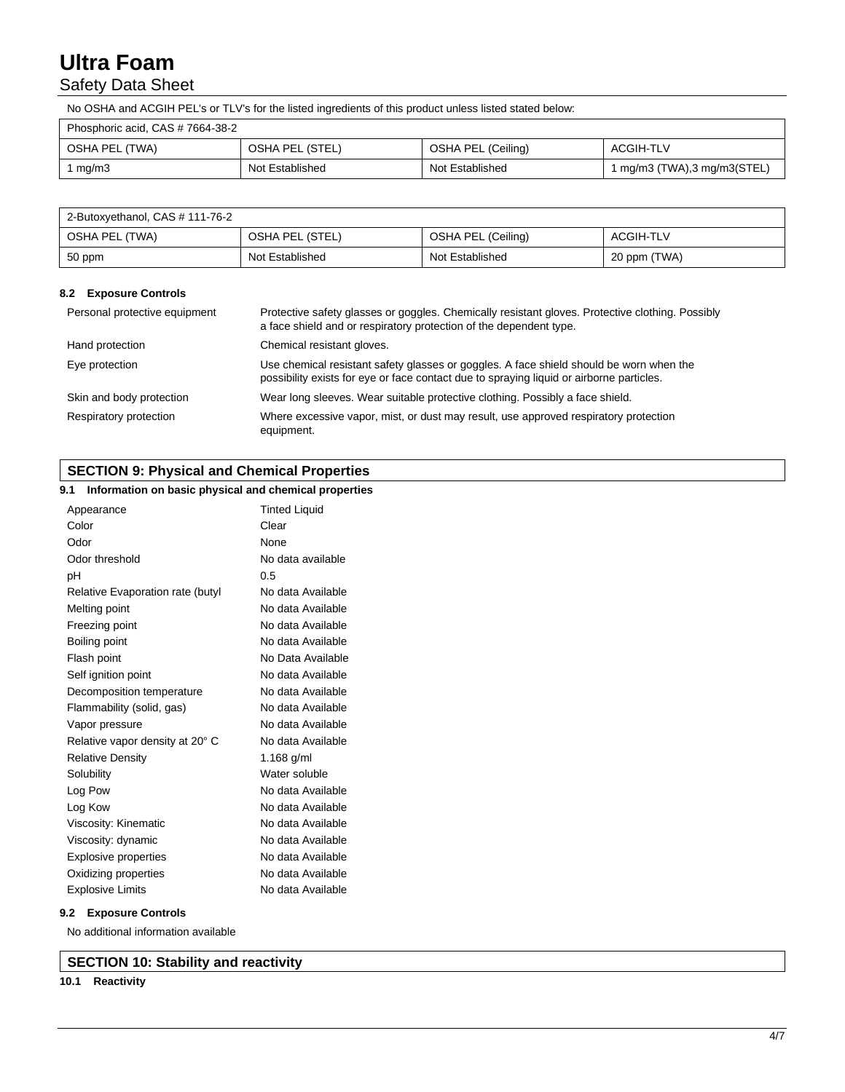## Safety Data Sheet

No OSHA and ACGIH PEL's or TLV's for the listed ingredients of this product unless listed stated below:

| Phosphoric acid, CAS # 7664-38-2 |                 |                    |                             |
|----------------------------------|-----------------|--------------------|-----------------------------|
| OSHA PEL (TWA)                   | OSHA PEL (STEL) | OSHA PEL (Ceiling) | <b>ACGIH-TLV</b>            |
| mg/m3                            | Not Established | Not Established    | 1 mg/m3 (TWA),3 mg/m3(STEL) |

| 2-Butoxyethanol, CAS # 111-76-2 |                 |                    |              |
|---------------------------------|-----------------|--------------------|--------------|
| OSHA PEL (TWA)                  | OSHA PEL (STEL) | OSHA PEL (Ceiling) | ACGIH-TLV    |
| 50 ppm                          | Not Established | Not Established    | 20 ppm (TWA) |

## **8.2 Exposure Controls**

| Personal protective equipment | Protective safety glasses or goggles. Chemically resistant gloves. Protective clothing. Possibly<br>a face shield and or respiratory protection of the dependent type.              |
|-------------------------------|-------------------------------------------------------------------------------------------------------------------------------------------------------------------------------------|
| Hand protection               | Chemical resistant gloves.                                                                                                                                                          |
| Eye protection                | Use chemical resistant safety glasses or goggles. A face shield should be worn when the<br>possibility exists for eye or face contact due to spraying liquid or airborne particles. |
| Skin and body protection      | Wear long sleeves. Wear suitable protective clothing. Possibly a face shield.                                                                                                       |
| Respiratory protection        | Where excessive vapor, mist, or dust may result, use approved respiratory protection<br>equipment.                                                                                  |

## **SECTION 9: Physical and Chemical Properties**

## **9.1 Information on basic physical and chemical properties**

| Appearance                       | <b>Tinted Liquid</b> |
|----------------------------------|----------------------|
| Color                            | Clear                |
| Odor                             | None                 |
| Odor threshold                   | No data available    |
| рH                               | 0.5                  |
| Relative Evaporation rate (butyl | No data Available    |
| Melting point                    | No data Available    |
| Freezing point                   | No data Available    |
| Boiling point                    | No data Available    |
| Flash point                      | No Data Available    |
| Self ignition point              | No data Available    |
| Decomposition temperature        | No data Available    |
| Flammability (solid, gas)        | No data Available    |
| Vapor pressure                   | No data Available    |
| Relative vapor density at 20° C  | No data Available    |
| <b>Relative Density</b>          | 1.168 g/ml           |
| Solubility                       | Water soluble        |
| Log Pow                          | No data Available    |
| Log Kow                          | No data Available    |
| Viscosity: Kinematic             | No data Available    |
| Viscosity: dynamic               | No data Available    |
| <b>Explosive properties</b>      | No data Available    |
| Oxidizing properties             | No data Available    |
| <b>Explosive Limits</b>          | No data Available    |

## **9.2 Exposure Controls**

No additional information available

**SECTION 10: Stability and reactivity**

## **10.1 Reactivity**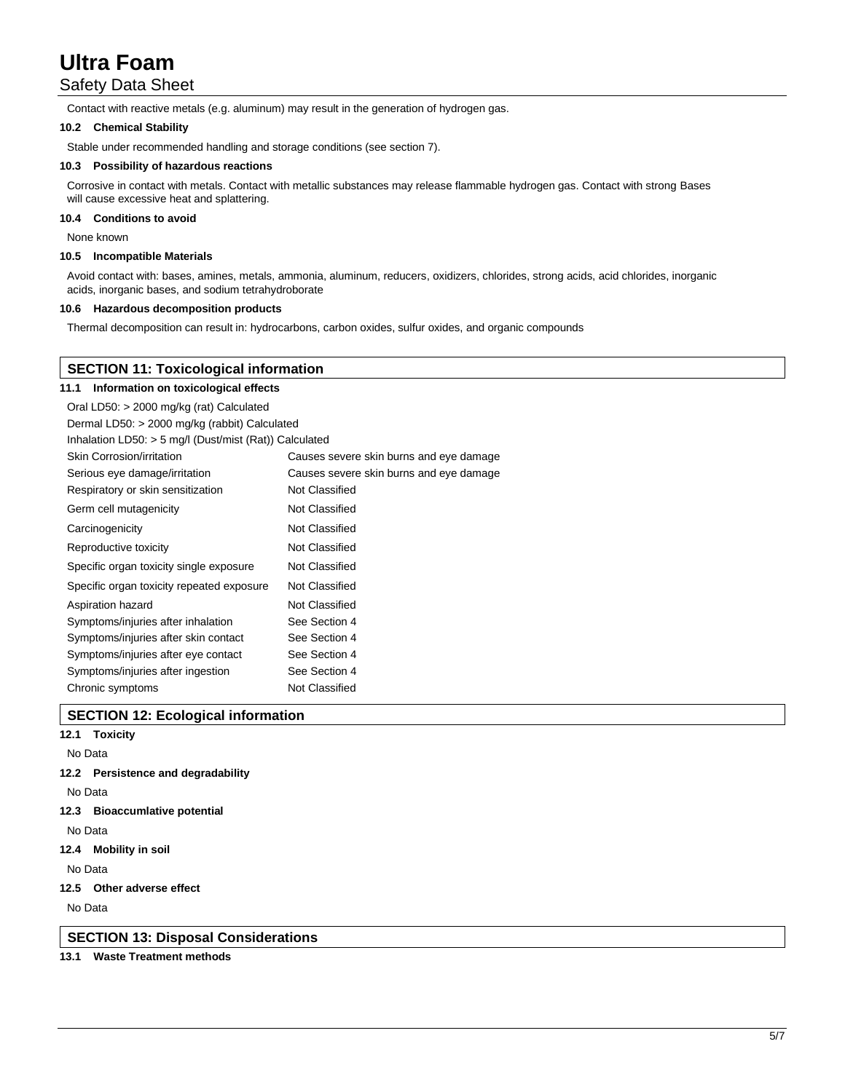## Safety Data Sheet

Contact with reactive metals (e.g. aluminum) may result in the generation of hydrogen gas.

### **10.2 Chemical Stability**

Stable under recommended handling and storage conditions (see section 7).

## **10.3 Possibility of hazardous reactions**

Corrosive in contact with metals. Contact with metallic substances may release flammable hydrogen gas. Contact with strong Bases will cause excessive heat and splattering.

### **10.4 Conditions to avoid**

None known

#### **10.5 Incompatible Materials**

Avoid contact with: bases, amines, metals, ammonia, aluminum, reducers, oxidizers, chlorides, strong acids, acid chlorides, inorganic acids, inorganic bases, and sodium tetrahydroborate

#### **10.6 Hazardous decomposition products**

Thermal decomposition can result in: hydrocarbons, carbon oxides, sulfur oxides, and organic compounds

| <b>SECTION 11: Toxicological information</b>             |                                         |  |  |
|----------------------------------------------------------|-----------------------------------------|--|--|
| Information on toxicological effects<br>11.1             |                                         |  |  |
| Oral LD50: > 2000 mg/kg (rat) Calculated                 |                                         |  |  |
| Dermal LD50: > 2000 mg/kg (rabbit) Calculated            |                                         |  |  |
| Inhalation LD50: $>$ 5 mg/l (Dust/mist (Rat)) Calculated |                                         |  |  |
| <b>Skin Corrosion/irritation</b>                         | Causes severe skin burns and eye damage |  |  |
| Serious eye damage/irritation                            | Causes severe skin burns and eye damage |  |  |
| Respiratory or skin sensitization                        | Not Classified                          |  |  |
| Germ cell mutagenicity                                   | Not Classified                          |  |  |
| Carcinogenicity                                          | Not Classified                          |  |  |
| Reproductive toxicity                                    | Not Classified                          |  |  |
| Specific organ toxicity single exposure                  | Not Classified                          |  |  |
| Specific organ toxicity repeated exposure                | Not Classified                          |  |  |
| Aspiration hazard                                        | Not Classified                          |  |  |
| Symptoms/injuries after inhalation                       | See Section 4                           |  |  |
| Symptoms/injuries after skin contact                     | See Section 4                           |  |  |
| Symptoms/injuries after eye contact                      | See Section 4                           |  |  |
| Symptoms/injuries after ingestion                        | See Section 4                           |  |  |
| Chronic symptoms                                         | Not Classified                          |  |  |

## **SECTION 12: Ecological information**

- **12.1 Toxicity**
- No Data
- **12.2 Persistence and degradability**
- No Data
- **12.3 Bioaccumlative potential**

No Data

**12.4 Mobility in soil**

No Data

**12.5 Other adverse effect**

No Data

**SECTION 13: Disposal Considerations**

## **13.1 Waste Treatment methods**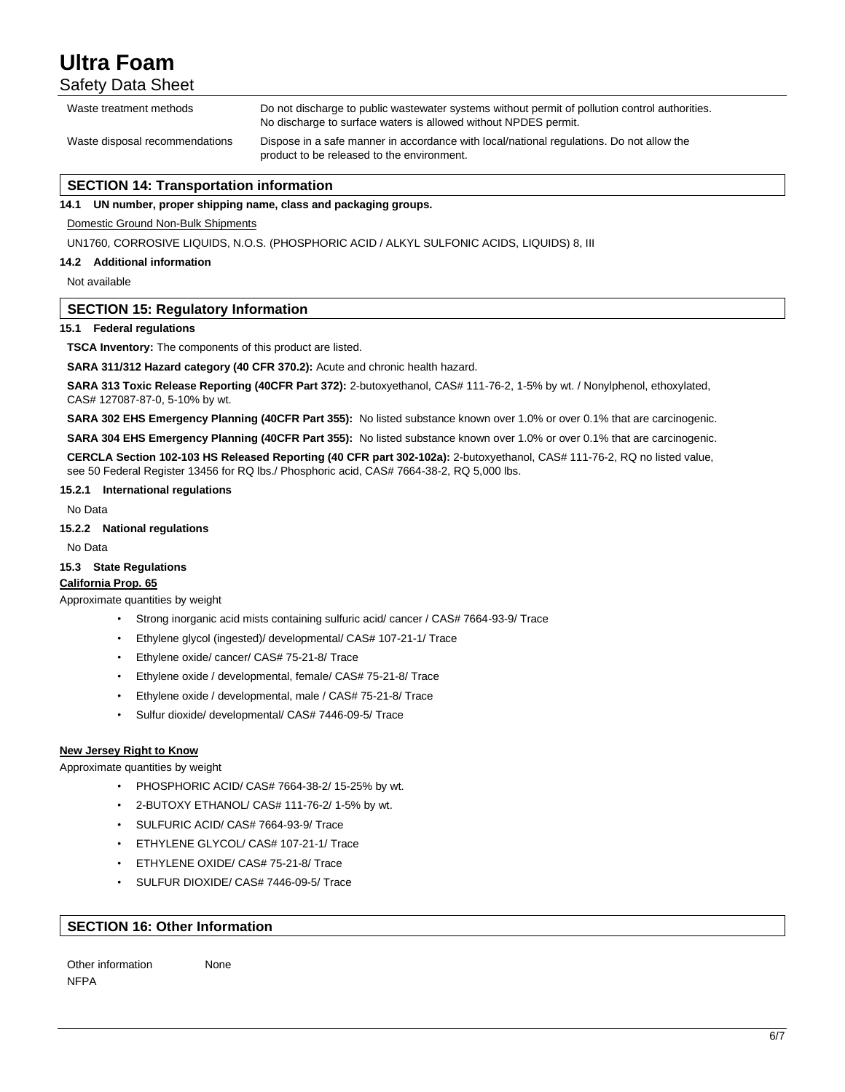Safety Data Sheet

| Waste treatment methods        | Do not discharge to public wastewater systems without permit of pollution control authorities.<br>No discharge to surface waters is allowed without NPDES permit. |
|--------------------------------|-------------------------------------------------------------------------------------------------------------------------------------------------------------------|
| Waste disposal recommendations | Dispose in a safe manner in accordance with local/national regulations. Do not allow the<br>product to be released to the environment.                            |

## **SECTION 14: Transportation information**

**14.1 UN number, proper shipping name, class and packaging groups.**

Domestic Ground Non-Bulk Shipments

UN1760, CORROSIVE LIQUIDS, N.O.S. (PHOSPHORIC ACID / ALKYL SULFONIC ACIDS, LIQUIDS) 8, III

**14.2 Additional information**

Not available

## **SECTION 15: Regulatory Information**

#### **15.1 Federal regulations**

**TSCA Inventory:** The components of this product are listed.

**SARA 311/312 Hazard category (40 CFR 370.2):** Acute and chronic health hazard.

**SARA 313 Toxic Release Reporting (40CFR Part 372):** 2-butoxyethanol, CAS# 111-76-2, 1-5% by wt. / Nonylphenol, ethoxylated, CAS# 127087-87-0, 5-10% by wt.

**SARA 302 EHS Emergency Planning (40CFR Part 355):** No listed substance known over 1.0% or over 0.1% that are carcinogenic.

**SARA 304 EHS Emergency Planning (40CFR Part 355):** No listed substance known over 1.0% or over 0.1% that are carcinogenic.

**CERCLA Section 102-103 HS Released Reporting (40 CFR part 302-102a):** 2-butoxyethanol, CAS# 111-76-2, RQ no listed value, see 50 Federal Register 13456 for RQ lbs./ Phosphoric acid, CAS# 7664-38-2, RQ 5,000 lbs.

## **15.2.1 International regulations**

No Data

#### **15.2.2 National regulations**

No Data

## **15.3 State Regulations**

**California Prop. 65**

## Approximate quantities by weight

- Strong inorganic acid mists containing sulfuric acid/ cancer / CAS# 7664-93-9/ Trace
- Ethylene glycol (ingested)/ developmental/ CAS# 107-21-1/ Trace
- Ethylene oxide/ cancer/ CAS# 75-21-8/ Trace
- Ethylene oxide / developmental, female/ CAS# 75-21-8/ Trace
- Ethylene oxide / developmental, male / CAS# 75-21-8/ Trace
- Sulfur dioxide/ developmental/ CAS# 7446-09-5/ Trace

### **New Jersey Right to Know**

Approximate quantities by weight

- PHOSPHORIC ACID/ CAS# 7664-38-2/ 15-25% by wt.
- 2-BUTOXY ETHANOL/ CAS# 111-76-2/ 1-5% by wt.
- SULFURIC ACID/ CAS# 7664-93-9/ Trace
- ETHYLENE GLYCOL/ CAS# 107-21-1/ Trace
- ETHYLENE OXIDE/ CAS# 75-21-8/ Trace
- SULFUR DIOXIDE/ CAS# 7446-09-5/ Trace

## **SECTION 16: Other Information**

Other information None **NFPA**